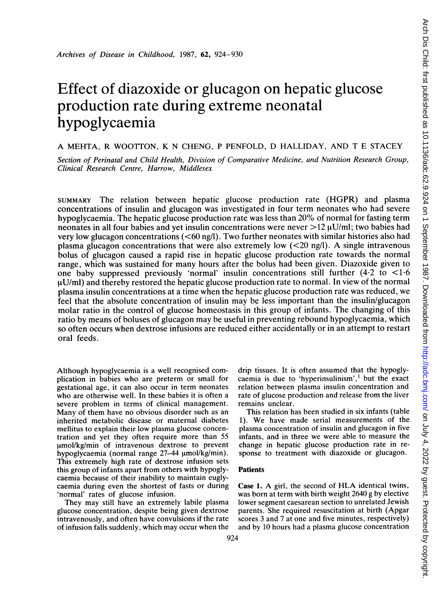# Effect of diazoxide or glucagon on hepatic glucose production rate during extreme neonatal hypoglycaemia

A MEHTA, R WOOTTON, K N CHENG, <sup>P</sup> PENFOLD, D HALLIDAY, AND T E STACEY

Section of Perinatal and Child Health, Division of Comparative Medicine, and Nutrition Research Group, Clinical Research Centre, Harrow, Middlesex

SUMMARY The relation between hepatic glucose production rate (HGPR) and plasma concentrations of insulin and glucagon was investigated in four term neonates who had severe hypoglycaemia. The hepatic glucose production rate was less than 20% of normal for fasting term neonates in all four babies and yet insulin concentrations were never  $>12 \mu U/ml$ ; two babies had very low glucagon concentrations (<60 ng/l). Two further neonates with similar histories also had plasma glucagon concentrations that were also extremely low  $(<20 \text{ ng/l})$ . A single intravenous bolus of glucagon caused a rapid rise in hepatic glucose production rate towards the normal range, which was sustained for many hours after the bolus had been given. Diazoxide given to one baby suppressed previously 'normal' insulin concentrations still further  $(4.2 \text{ to } < 1.6$  $\mu$ U/ml) and thereby restored the hepatic glucose production rate to normal. In view of the normal plasma insulin concentrations at a time when the hepatic glucose production rate was reduced, we feel that the absolute concentration of insulin may be less important than the insulin/glucagon molar ratio in the control of glucose homeostasis in this group of infants. The changing of this ratio by means of boluses of glucagon may be useful in preventing rebound hypoglycaemia, which so often occurs when dextrose infusions are reduced either accidentally or in an attempt to restart oral feeds.

Although hypoglycaemia is a well recognised complication in babies who are preterm or small for gestational age, it can also occur in term neonates who are otherwise well. In these babies it is often <sup>a</sup> severe problem in terms of clinical management. Many of them have no obvious disorder such as an inherited metabolic disease or maternal diabetes mellitus to explain their low plasma glucose concentration and yet they often require more than 55 umol/kg/min of intravenous dextrose to prevent hypoglycaemia (normal range  $27-44 \mu$ mol/kg/min). This extremely high rate of dextrose infusion sets this group of infants apart from others with hypoglycaemia because of their inability to maintain euglycaemia during even the shortest of fasts or during 'normal' rates of glucose infusion.

They may still have an extremely labile plasma glucose concentration, despite being given dextrose intravenously, and often have convulsions if the rate of infusion falls suddenly, which may occur when the drip tissues. It is often assumed that the hypoglycaemia is due to 'hyperinsulinism', $<sup>1</sup>$  but the exact</sup> relation between plasma insulin concentration and rate of glucose production and release from the liver remains unclear.

This relation has been studied in six infants (table 1). We have made serial measurements of the plasma concentration of insulin and glucagon in five infants, and in three we were able to measure the change in hepatic glucose production rate in response to treatment with diazoxide or glucagon.

# Patients

Case 1. A girl, the second of HLA identical twins, was born at term with birth weight 2640 g by elective lower segment caesarean section to unrelated Jewish parents. She required resuscitation at birth (Apgar scores 3 and 7 at one and five minutes, respectively) and by 10 hours had a plasma glucose concentration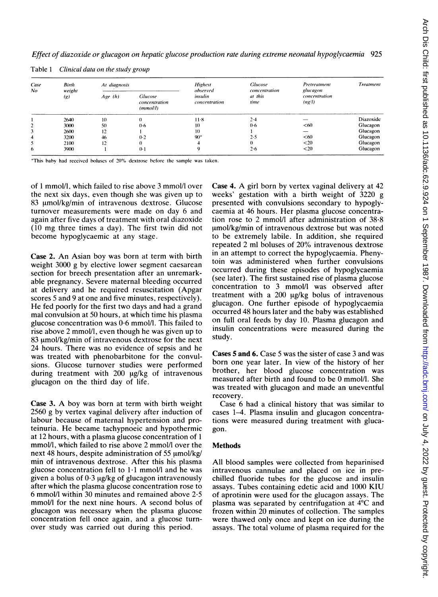| Effect of diazoxide or glucagon on hepatic glucose production rate during extreme neonatal hypoglycaemia 925 |  |  |
|--------------------------------------------------------------------------------------------------------------|--|--|
|--------------------------------------------------------------------------------------------------------------|--|--|

| Case<br>No | Birth | At diagnosis<br>weight |          | <b>Highest</b><br>observed                  | <b>Glucose</b><br>concentration | Pretreatment<br>glucagon | <b>Treatment</b>        |
|------------|-------|------------------------|----------|---------------------------------------------|---------------------------------|--------------------------|-------------------------|
|            |       | (g)                    | Age(h)   | <b>Glucose</b><br>concentration<br>(mmol/l) | insulin<br>concentration        | at this<br>time          | concentration<br>(ng/l) |
|            | 2640  | 10                     | $\Omega$ | $11-8$                                      | 2.4                             | _                        | Diazoxide               |
| 2          | 3000  | 50                     | 0.6      | 10                                          | $0 - 6$                         | < 60                     | Glucagon                |
|            | 2600  | 12                     |          | 10                                          |                                 | $\sim$                   | Glucagon                |
| 4          | 3200  | 46                     | 0.2      | $90*$                                       | 2·5                             | < 60                     | Glucagon                |
| 5          | 2100  | 12                     | 0        |                                             |                                 | $20$                     | Glucagon                |
| 6          | 3900  |                        | $0-1$    |                                             | 2.6                             | $20$                     | Glucagon                |

Table 1 Clinical data on the study group

\*This baby had received boluses of 20% dextrose before the sample was tatken.

of <sup>1</sup> mmol/l, which failed to rise above 3 mmol/l over the next six days, even though she was given up to 83 umol/kg/min of intravenous dextrose. Glucose turnover measurements were made on day 6 and again after five days of treatment with oral diazoxide (10 mg three times <sup>a</sup> day). The first twin did not become hypoglycaemic at any stage.

Case 2. An Asian boy was born at term with birth weight 3000 g by elective lower segment caesarean section for breech presentation after an unremarkable pregnancy. Severe maternal bleeding occurred at delivery and he required resuscitation (Apgar scores 5 and 9 at one and five minutes, respectively). He fed poorly for the first two days and had <sup>a</sup> grand mal convulsion at 50 hours, at which time his plasma glucose concentration was 0-6 mmol/l. This failed to rise above 2 mmol/l, even though he was given up to 83 umol/kg/min of intravenous dextrose for the next 24 hours. There was no evidence of sepsis and he was treated with phenobarbitone for the convulsions. Glucose turnover studies were performed during treatment with  $200 \mu g/kg$  of intravenous glucagon on the third day of life.

Case 3. A boy was born at term with birth weight 2560 g by vertex vaginal delivery after induction of labour because of maternal hypertension and proteinuria. He became tachypnoeic and hypothermic at 12 hours, with a plasma glucose concentration of <sup>1</sup> mmol/l, which failed to rise above 2 mmol/l over the next 48 hours, despite administration of 55  $\mu$ mol/kg/ min of intravenous dextrose. After this his plasma glucose concentration fell to  $1.1$  mmol/l and he was given a bolus of  $0.3 \mu g/kg$  of glucagon intravenously after which the plasma glucose concentration rose to 6 mmol/l within 30 minutes and remained above 2-5 mmol/l for the next nine hours. A second bolus of glucagon was necessary when the plasma glucose concentration fell once again, and a glucose turnover study was carried out during this period.

Case 4. A girl born by vertex vaginal delivery at <sup>42</sup> weeks' gestation with a birth weight of 3220 g presented with convulsions secondary to hypoglycaemia at 46 hours. Her plasma glucose concentration rose to 2 mmol/l after administration of 38-8 umol/kg/min of intravenous dextrose but was noted to be extremely labile. In addition, she required repeated 2 ml boluses of 20% intravenous dextrose in an attempt to correct the hypoglycaemia. Phenytoin was administered when further convulsions occurred during these episodes of hypoglycaemia (see later). The first sustained rise of plasma glucose concentration to 3 mmol/l was observed after treatment with a  $200 \mu g/kg$  bolus of intravenous glucagon. One further episode of hypoglycaemia occurred 48 hours later and the baby was established on full oral feeds by day 10. Plasma glucagon and insulin concentrations were measured during the study.

Cases 5 and 6. Case 5 was the sister of case 3 and was born one year later. In view of the history of her brother, her blood glucose concentration was measured after birth and found to be 0 mmol/l. She was treated with glucagon and made an uneventful recovery.

Case 6 had a clinical history that was similar to cases 1-4. Plasma insulin and glucagon concentrations were measured during treatment with glucagon.

## Methods

All blood samples were collected from heparinised intravenous cannulae and placed on ice in prechilled fluoride tubes for the glucose and insulin assays. Tubes containing edetic acid and 1000 KIU of aprotinin were used for the glucagon assays. The plasma was separated by centrifugation at 4°C and frozen within 20 minutes of collection. The samples were thawed only once and kept on ice during the assays. The total volume of plasma required for the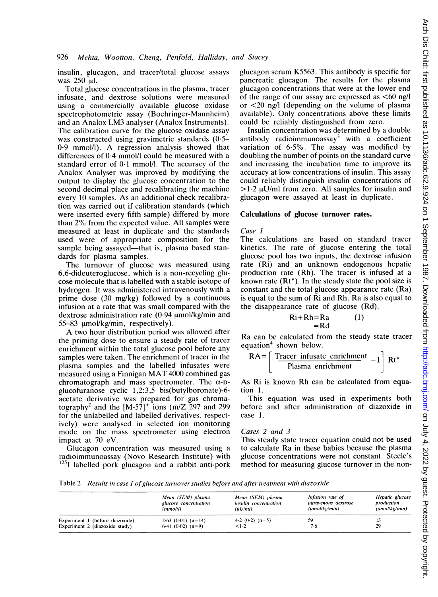insulin, glucagon, and tracer/total glucose assays was 250 µl.

Total glucose concentrations in the plasma, tracer infusate, and dextrose solutions were measured using a commercially available glucose oxidase spectrophotometric assay (Boehringer-Mannheim) and an Analox LM3 analyser (Analox Instruments). The calibration curve for the glucose oxidase assay was constructed using gravimetric standards (0.5-0-9 mmol/l). A regression analysis showed that differences of 0-4 mmol/l could be measured with a standard error of 0-1 mmol/l. The accuracy of the Analox Analyser was improved by modifying the output to display the glucose concentration to the second decimal place and recalibrating the machine every 10 samples. As an additional check recalibration was carried out if calibration standards (which were inserted every fifth sample) differed by more than 2% from the expected value. All samples were measured at least in duplicate and the standards used were of appropriate composition for the sample being assayed-that is, plasma based standards for plasma samples.

The turnover of glucose was measured using 6,6-dideuteroglucose, which is a non-recycling glucose molecule that is labelled with a stable isotope of hydrogen. It was administered intravenously with a prime dose (30 mg/kg) followed by a continuous infusion at a rate that was small compared with the dextrose administration rate  $(0.94 \mu m$ ol/kg/min and  $55-83$   $\mu$ mol/kg/min, respectively).

A two hour distribution period was allowed after the priming dose to ensure a steady rate of tracer enrichment within the total glucose pool before any samples were taken. The enrichment of tracer in the plasma samples and the labelled infusates were measured using <sup>a</sup> Finnigan MAT <sup>4000</sup> combined gas chromatograph and mass spectrometer. The  $\alpha$ -Dglucofuranose cyclic 1,2:3,5 bis(butylboronate)-6 acetate derivative was prepared for gas chromatography<sup>2</sup> and the  $[M-57]$ <sup>+</sup> ions (m/Z 297 and 299 for the unlabelled and labelled derivatives, respectively) were analysed in selected ion monitoring mode on the mass spectrometer using electron impact at 70 eV.

Glucagon concentration was measured using a radioimmunoassay (Novo Research Institute) with  $125$ I labelled pork glucagon and a rabbit anti-pork glucagon serum K5563. This antibody is specific for pancreatic glucagon. The results for the plasma glucagon concentrations that were at the lower end of the range of our assay are expressed as  $<60$  ng/l or <20 ng/l (depending on the volume of plasma available). Only concentrations above these limits could be reliably distinguished from zero.

Insulin concentration was determined by a double antibody radioimmunoassay<sup>3</sup> with a coefficient variation of 6-5%. The assay was modified by doubling the number of points on the standard curve and increasing the incubation time to improve its accuracy at low concentrations of insulin. This assay could reliably distinguish insulin concentrations of  $>1.2 \mu$ U/ml from zero. All samples for insulin and glucagon were assayed at least in duplicate.

#### Calculations of glucose turnover rates.

#### Case I

The calculations are based on standard tracer kinetics. The rate of glucose entering the total glucose pool has two inputs, the dextrose infusion rate (Ri) and an unknown endogenous hepatic production rate (Rh). The tracer is infused at a known rate (Rt\*). In the steady state the pool size is constant and the total glucose appearance rate (Ra) is equal to the sum of Ri and Rh. Ra is also equal to the disappearance rate of glucose (Rd).

$$
Ri + Rh = Ra \qquad (1)
$$
  
= Rd

Ra can be calculated from the steady state tracer equation<sup>4</sup> shown below.

$$
RA = \left\lceil \frac{\text{Tracer instance enrichment}}{\text{Plasma enrichment}} - 1 \right\rceil Rt^*
$$

As Ri is known Rh can be calculated from equation 1.

This equation was used in experiments both before and after administration of diazoxide in case 1.

#### Cases 2 and 3

This steady state tracer equation could not be used to calculate Ra in these babies because the plasma glucose concentrations were not constant. Steele's method for measuring glucose turnover in the non-

Table 2 Results in case <sup>1</sup> of glucose turnover studies before and after treatment with diazoxide

|                                 | Mean (SEM) plasma<br>glucose concentration<br>(mmol/l) | Mean (SEM) plasma<br><i>insulin concentration</i><br>(uU/ml) | Infusion rate of<br>intravenous dextrose<br>(umol/kg/min) | Hepatic glucose<br>production<br>(umol/kg/min) |
|---------------------------------|--------------------------------------------------------|--------------------------------------------------------------|-----------------------------------------------------------|------------------------------------------------|
| Experiment 1 (before diazoxide) | $2.63$ (0.01) (n=14)                                   | $4.2$ (0.2) (n=5)                                            | 59                                                        |                                                |
| Experiment 2 (diazoxide study)  | $6.41$ (0.02) (n=9)                                    | 1.2                                                          | 7-6                                                       | 29                                             |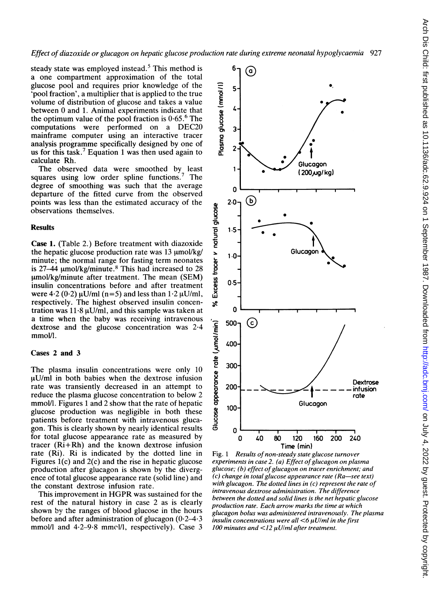Effect of diazoxide or glucagon on hepatic glucose production rate during extreme neonatal hypoglycaemia 927

steady state was employed instead.<sup>5</sup> This method is a one compartment approximation of the total glucose pool and requires prior knowledge of the 'pool fraction', a multiplier that is applied to the true volume of distribution of glucose and takes a value between 0 and 1. Animal experiments indicate that the optimum value of the pool fraction is  $0.65<sup>6</sup>$ . The computations were performed on <sup>a</sup> DEC20 mainframe computer using an interactive tracer analysis programme specifically designed by one of us for this task.<sup>7</sup> Equation 1 was then used again to calculate Rh.

The observed data were smoothed by least squares using low order spline functions.<sup>7</sup> The degree of smoothing was such that the average departure of the fitted curve from the observed points was less than the estimated accuracy of the observations themselves.

## **Results**

Case 1. (Table 2.) Before treatment with diazoxide the hepatic glucose production rate was  $13 \mu$ mol/kg/ minute; the normal range for fasting term neonates is  $27-44$  umol/kg/minute.<sup>8</sup> This had increased to 28  $\mu$ mol/kg/minute after treatment. The mean (SEM) insulin concentrations before and after treatment were  $4.2 (0.2) \mu U/ml$  (n=5) and less than  $1.2 \mu U/ml$ , respectively. The highest observed insulin concentration was  $11.8 \text{ }\mu\text{U/ml}$ , and this sample was taken at a time when the baby was receiving intravenous dextrose and the glucose concentration was 2-4 mmol/l.

# Cases 2 and 3

The plasma insulin concentrations were only 10  $\mu$ U/ml in both babies when the dextrose infusion rate was transiently decreased in an attempt to reduce the plasma glucose concentration to below 2 mmol/l. Figures <sup>1</sup> and 2 show that the rate of hepatic glucose production was negligible in both these patients before treatment with intravenous glucagon. This is clearly shown by nearly identical results for total glucose appearance rate as measured by tracer (Ri+Rh) and the known dextrose infusion rate (Ri). Ri is indicated by the dotted line in Figures l(c) and 2(c) and the rise in hepatic glucose production after glucagon is shown by the divergence of total glucose appearance rate (solid line) and the constant dextrose infusion rate.

This improvement in HGPR was sustained for the rest of the natural history in case 2 as is clearly shown by the ranges of blood glucose in the hours before and after administration of glucagon  $(0.2-4.3)$ mmol/l and 4-2-9-8 mmel/l, respectively). Case 3



Fig. <sup>1</sup> Results of non-steady state glucose turnover experiments in case  $2.$  (a) Effect of glucagon on plasma glucose; (b) effect of glucagon on tracer enrichment; and  $(c)$  change in total glucose appearance rate  $(Ra$ —see text) with glucagon. The dotted lines in (c) represent the rate of intravenous dextrose administration. The difference between the dotted and solid lines is the net hepatic glucose production rate. Each arrow marks the time at which glucagon bolus was administered intravenously. The plasma insulin concentrations were all  $\leq 6$   $\mu$ U/ml in the first 100 minutes and  $\langle 12 \mu U/m$ l after treatment.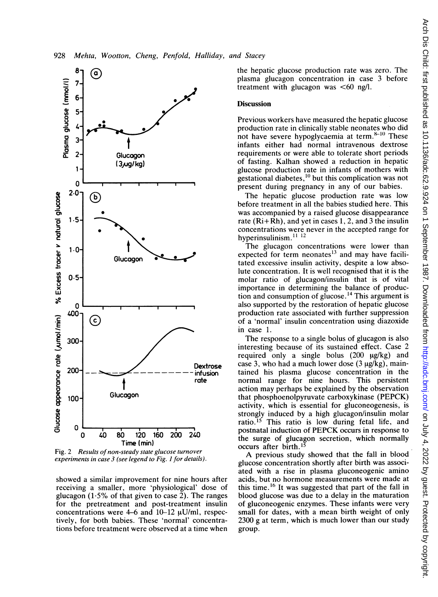

Fig. 2 Results of non-steady state glucose turnover experiments in case 3 (see legend to Fig. I for details).

showed a similar improvement for nine hours after receiving a smaller, more 'physiological' dose of glucagon (1.5% of that given to case 2). The ranges for the pretreatment and post-treatment insulin concentrations were 4-6 and  $10-12 \mu U/ml$ , respectively, for both babies. These 'normal' concentrations before treatment were observed at a time when

the hepatic glucose production rate was zero. The plasma glucagon concentration in case 3 before treatment with glucagon was  $\leq 60$  ng/l.

## **Discussion**

Previous workers have measured the hepatic glucose production rate in clinically stable neonates who did not have severe hypoglycaemia at term. $8-10$  These infants either had normal intravenous dextrose requirements or were able to tolerate short periods of fasting. Kalhan showed a reduction in hepatic glucose production rate in infants of mothers with gestational diabetes, $^{10}$  but this complication was not present during pregnancy in any of our babies.

The hepatic glucose production rate was low before treatment in all the babies studied here. This was accompanied by a raised glucose disappearance rate  $(Ri+Rh)$ , and vet in cases 1, 2, and 3 the insulin concentrations were never in the accepted range for hyperinsulinism.<sup>11-12</sup>

The glucagon concentrations were lower than expected for term neonates<sup>13</sup> and may have facilitated excessive insulin activity, despite <sup>a</sup> low absolute concentration. It is well recognised that it is the molar ratio of glucagon/insulin that is of vital importance in determining the balance of production and consumption of glucose.<sup>14</sup> This argument is also supported by the restoration of hepatic glucose production rate associated with further suppression of a 'normal' insulin concentration using diazoxide in case 1.

The response to a single bolus of glucagon is also interesting because of its sustained effect. Case 2 required only a single bolus  $(200 \mu g/kg)$  and case 3, who had a much lower dose  $(3 \mu g/kg)$ , maintained his plasma glucose concentration in the normal range for nine hours. This persistent action may perhaps be explained by the observation that phosphoenolpyruvate carboxykinase (PEPCK) activity, which is essential for gluconeogenesis, is strongly induced by a high glucagon/insulin molar ratio.<sup>15</sup> This ratio is low during fetal life, and postnatal induction of PEPCK occurs in response to the surge of glucagon secretion, which normally occurs after birth.<sup>13</sup>

A previous study showed that the fall in blood glucose concentration shortly after birth was associated with a rise in plasma gluconeogenic amino acids, but no hormone measurements were made at this time.<sup>16</sup> It was suggested that part of the fall in blood glucose was due to a delay in the maturation of gluconeogenic enzymes. These infants were very small for dates, with a mean birth weight of only 2300 g at term, which is much lower than our study group.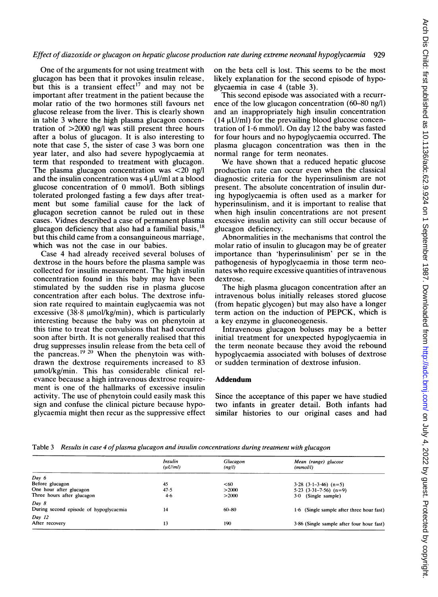One of the arguments for not using treatment with glucagon has been that it provokes insulin release, but this is a transient effect<sup>17</sup> and may not be important after treatment in the patient because the molar ratio of the two hormones still favours net glucose release from the liver. This is clearly shown in table 3 where the high plasma glucagon concentration of >2000 ng/l was still present three hours after a bolus of glucagon. It is also interesting to note that case 5, the sister of case 3 was born one year later, and also had severe hypoglycaemia at term that responded to treatment with glucagon. The plasma glucagon concentration was  $\langle 20 \rangle$  ng/l and the insulin concentration was  $4 \mu U/ml$  at a blood glucose concentration of 0 mmol/l. Both siblings tolerated prolonged fasting a few days after treatment but some familial cause for the lack of glucagon secretion cannot be ruled out in these cases. Vidnes described a case of permanent plasma glucagon deficiency that also had a familial basis,  $^{18}$ but this child came from a consanguineous marriage, which was not the case in our babies.

Case 4 had already received several boluses of dextrose in the hours before the plasma sample was collected for insulin measurement. The high insulin concentration found in this baby may have been stimulated by the sudden rise in plasma glucose concentration after each bolus. The dextrose infusion rate required to maintain euglycaemia was not excessive  $(38.8 \text{ mmol/kg/min})$ , which is particularly interesting because the baby was on phenytoin at this time to treat the convulsions that had occurred soon after birth. It is not generally realised that this drug suppresses insulin release from the beta cell of the pancreas.<sup>19 20</sup> When the phenytoin was withdrawn the dextrose requirements increased to 83 umol/kg/min. This has considerable clinical relevance because a high intravenous dextrose requirement is one of the hallmarks of excessive insulin activity. The use of phenytoin could easily mask this sign and confuse the clinical picture because hypoglycaemia might then recur as the suppressive effect

on the beta cell is lost. This seems to be the most likely explanation for the second episode of hypoglycaemia in case 4 (table 3).

This second episode was associated with a recurrence of the low glucagon concentration (60-80 ng/l) and an inappropriately high insulin concentration  $(14 \mu U/ml)$  for the prevailing blood glucose concentration of 1-6 mmol/l. On day <sup>12</sup> the baby was fasted for four hours and no hypoglycaemia occurred. The plasma glucagon concentration was then in the normal range for term neonates.

We have shown that a reduced hepatic glucose production rate can occur even when the classical diagnostic criteria for the hyperinsulinism are not present. The absolute concentration of insulin during hypoglycaemia is often used as a marker for hyperinsulinism, and it is important to realise that when high insulin concentrations are not present excessive insulin activity can still occur because of glucagon deficiency.

Abnormalities in the mechanisms that control the molar ratio of insulin to glucagon may be of greater importance than 'hyperinsulinism' per se in the pathogenesis of hypoglycaemia in those term neonates who require excessive quantities of intravenous dextrose.

The high plasma glucagon concentration after an intravenous bolus initially releases stored glucose (from hepatic glycogen) but may also have a longer term action on the induction of PEPCK, which is a key enzyme in gluconeogenesis.

Intravenous glucagon boluses may be a better initial treatment for unexpected hypoglycaemia in the term neonate because they avoid the rebound hypoglycaemia associated with boluses of dextrose or sudden termination of dextrose infusion.

## Addendum

Since the acceptance of this paper we have studied two infants in greater detail. Both infants had similar histories to our original cases and had

Table 3 Results in case 4 of plasma glucagon and insulin concentrations during treatment with glucagon

|                                        | Insulin<br>(uU/ml) | Glucagon<br>(ng/l) | Mean (range) glucose<br>(mmol/l)          |
|----------------------------------------|--------------------|--------------------|-------------------------------------------|
| Day 6                                  |                    |                    |                                           |
| Before glucagon                        | 45                 | < 60               | $3.28$ $(3.1-3.46)$ $(n=5)$               |
| One hour after glucagon                | 47.5               | >2000              | $5.23$ $(3.31-7.56)$ $(n=9)$              |
| Three hours after glucagon             | $4 - 6$            | >2000              | $3-0$ (Single sample)                     |
| Day 8                                  |                    |                    |                                           |
| During second episode of hypoglycaemia | 14                 | $60 - 80$          | 1.6 (Single sample after three hour fast) |
| Day 12                                 |                    |                    |                                           |
| After recovery                         | 13                 | 190                | 3.86 (Single sample after four hour fast) |